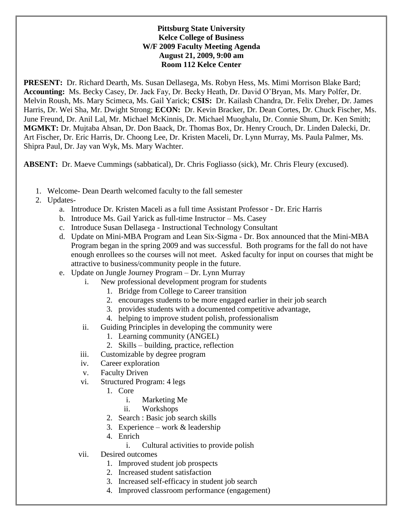## **Pittsburg State University Kelce College of Business W/F 2009 Faculty Meeting Agenda August 21, 2009, 9:00 am Room 112 Kelce Center**

**PRESENT:** Dr. Richard Dearth, Ms. Susan Dellasega, Ms. Robyn Hess, Ms. Mimi Morrison Blake Bard; **Accounting:** Ms. Becky Casey, Dr. Jack Fay, Dr. Becky Heath, Dr. David O'Bryan, Ms. Mary Polfer, Dr. Melvin Roush, Ms. Mary Scimeca, Ms. Gail Yarick; **CSIS:** Dr. Kailash Chandra, Dr. Felix Dreher, Dr. James Harris, Dr. Wei Sha, Mr. Dwight Strong; **ECON:** Dr. Kevin Bracker, Dr. Dean Cortes, Dr. Chuck Fischer, Ms. June Freund, Dr. Anil Lal, Mr. Michael McKinnis, Dr. Michael Muoghalu, Dr. Connie Shum, Dr. Ken Smith; **MGMKT:** Dr. Mujtaba Ahsan, Dr. Don Baack, Dr. Thomas Box, Dr. Henry Crouch, Dr. Linden Dalecki, Dr. Art Fischer, Dr. Eric Harris, Dr. Choong Lee, Dr. Kristen Maceli, Dr. Lynn Murray, Ms. Paula Palmer, Ms. Shipra Paul, Dr. Jay van Wyk, Ms. Mary Wachter.

**ABSENT:** Dr. Maeve Cummings (sabbatical), Dr. Chris Fogliasso (sick), Mr. Chris Fleury (excused).

- 1. Welcome- Dean Dearth welcomed faculty to the fall semester
- 2. Updates
	- a. Introduce Dr. Kristen Maceli as a full time Assistant Professor Dr. Eric Harris
	- b. Introduce Ms. Gail Yarick as full-time Instructor Ms. Casey
	- c. Introduce Susan Dellasega Instructional Technology Consultant
	- d. Update on Mini-MBA Program and Lean Six-Sigma Dr. Box announced that the Mini-MBA Program began in the spring 2009 and was successful. Both programs for the fall do not have enough enrollees so the courses will not meet. Asked faculty for input on courses that might be attractive to business/community people in the future.
	- e. Update on Jungle Journey Program Dr. Lynn Murray
		- i. New professional development program for students
			- 1. Bridge from College to Career transition
			- 2. encourages students to be more engaged earlier in their job search
			- 3. provides students with a documented competitive advantage,
			- 4. helping to improve student polish, professionalism
		- ii. Guiding Principles in developing the community were
			- 1. Learning community (ANGEL)
			- 2. Skills building, practice, reflection
		- iii. Customizable by degree program
		- iv. Career exploration
		- v. Faculty Driven
		- vi. Structured Program: 4 legs
			- 1. Core
				- i. Marketing Me
				- ii. Workshops
			- 2. Search : Basic job search skills
			- 3. Experience work  $&$  leadership
			- 4. Enrich
				- i. Cultural activities to provide polish
		- vii. Desired outcomes
			- 1. Improved student job prospects
			- 2. Increased student satisfaction
			- 3. Increased self-efficacy in student job search
			- 4. Improved classroom performance (engagement)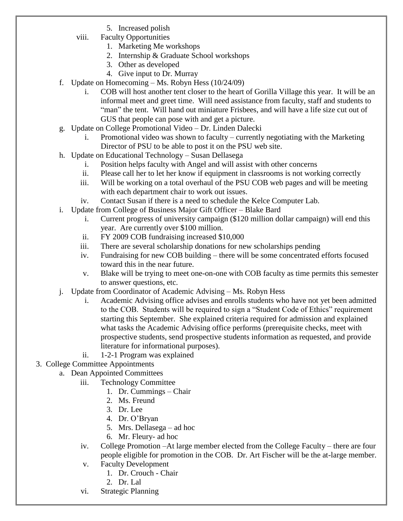- 5. Increased polish
- viii. Faculty Opportunities
	- 1. Marketing Me workshops
	- 2. Internship & Graduate School workshops
	- 3. Other as developed
	- 4. Give input to Dr. Murray
- f. Update on Homecoming  $-Ms$ . Robyn Hess (10/24/09)
	- i. COB will host another tent closer to the heart of Gorilla Village this year. It will be an informal meet and greet time. Will need assistance from faculty, staff and students to "man" the tent. Will hand out miniature Frisbees, and will have a life size cut out of GUS that people can pose with and get a picture.
- g. Update on College Promotional Video Dr. Linden Dalecki
	- i. Promotional video was shown to faculty currently negotiating with the Marketing Director of PSU to be able to post it on the PSU web site.
- h. Update on Educational Technology Susan Dellasega
	- i. Position helps faculty with Angel and will assist with other concerns
	- ii. Please call her to let her know if equipment in classrooms is not working correctly
	- iii. Will be working on a total overhaul of the PSU COB web pages and will be meeting with each department chair to work out issues.
	- iv. Contact Susan if there is a need to schedule the Kelce Computer Lab.
- i. Update from College of Business Major Gift Officer Blake Bard
	- i. Current progress of university campaign (\$120 million dollar campaign) will end this year. Are currently over \$100 million.
	- ii. FY 2009 COB fundraising increased \$10,000
	- iii. There are several scholarship donations for new scholarships pending
	- iv. Fundraising for new COB building there will be some concentrated efforts focused toward this in the near future.
	- v. Blake will be trying to meet one-on-one with COB faculty as time permits this semester to answer questions, etc.
- j. Update from Coordinator of Academic Advising Ms. Robyn Hess
	- i. Academic Advising office advises and enrolls students who have not yet been admitted to the COB. Students will be required to sign a "Student Code of Ethics" requirement starting this September. She explained criteria required for admission and explained what tasks the Academic Advising office performs (prerequisite checks, meet with prospective students, send prospective students information as requested, and provide literature for informational purposes).
	- ii. 1-2-1 Program was explained
- 3. College Committee Appointments
	- a. Dean Appointed Committees
		- iii. Technology Committee
			- 1. Dr. Cummings Chair
			- 2. Ms. Freund
			- 3. Dr. Lee
			- 4. Dr. O'Bryan
			- 5. Mrs. Dellasega ad hoc
			- 6. Mr. Fleury- ad hoc
		- iv. College Promotion –At large member elected from the College Faculty there are four people eligible for promotion in the COB. Dr. Art Fischer will be the at-large member.
		- v. Faculty Development
			- 1. Dr. Crouch Chair
			- 2. Dr. Lal
		- vi. Strategic Planning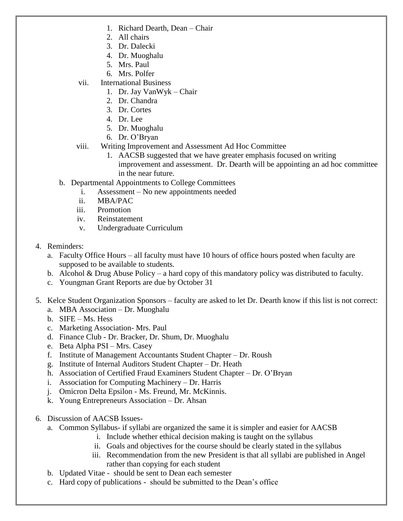- 1. Richard Dearth, Dean Chair
- 2. All chairs
- 3. Dr. Dalecki
- 4. Dr. Muoghalu
- 5. Mrs. Paul
- 6. Mrs. Polfer
- vii. International Business
	- 1. Dr. Jay VanWyk Chair
	- 2. Dr. Chandra
	- 3. Dr. Cortes
	- 4. Dr. Lee
	- 5. Dr. Muoghalu
	- 6. Dr. O'Bryan
- viii. Writing Improvement and Assessment Ad Hoc Committee
	- 1. AACSB suggested that we have greater emphasis focused on writing improvement and assessment. Dr. Dearth will be appointing an ad hoc committee in the near future.
- b. Departmental Appointments to College Committees
	- i. Assessment No new appointments needed
	- ii. MBA/PAC
	- iii. Promotion
	- iv. Reinstatement
	- v. Undergraduate Curriculum
- 4. Reminders:
	- a. Faculty Office Hours all faculty must have 10 hours of office hours posted when faculty are supposed to be available to students.
	- b. Alcohol & Drug Abuse Policy a hard copy of this mandatory policy was distributed to faculty.
	- c. Youngman Grant Reports are due by October 31
- 5. Kelce Student Organization Sponsors faculty are asked to let Dr. Dearth know if this list is not correct:
	- a. MBA Association Dr. Muoghalu
	- b. SIFE Ms. Hess
	- c. Marketing Association- Mrs. Paul
	- d. Finance Club Dr. Bracker, Dr. Shum, Dr. Muoghalu
	- e. Beta Alpha PSI Mrs. Casey
	- f. Institute of Management Accountants Student Chapter Dr. Roush
	- g. Institute of Internal Auditors Student Chapter Dr. Heath
	- h. Association of Certified Fraud Examiners Student Chapter Dr. O'Bryan
	- i. Association for Computing Machinery Dr. Harris
	- j. Omicron Delta Epsilon Ms. Freund, Mr. McKinnis.
	- k. Young Entrepreneurs Association Dr. Ahsan
- 6. Discussion of AACSB Issues
	- a. Common Syllabus- if syllabi are organized the same it is simpler and easier for AACSB
		- i. Include whether ethical decision making is taught on the syllabus
		- ii. Goals and objectives for the course should be clearly stated in the syllabus
		- iii. Recommendation from the new President is that all syllabi are published in Angel rather than copying for each student
	- b. Updated Vitae should be sent to Dean each semester
	- c. Hard copy of publications should be submitted to the Dean's office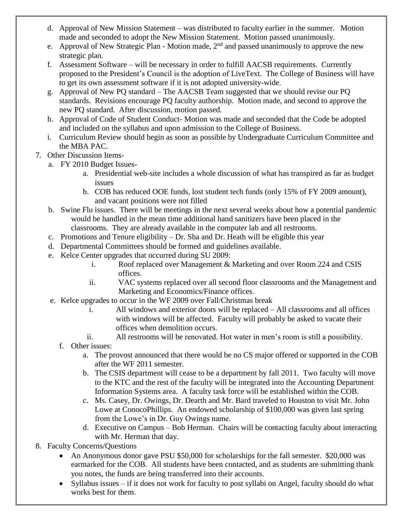- d. Approval of New Mission Statement was distributed to faculty earlier in the summer. Motion made and seconded to adopt the New Mission Statement. Motion passed unanimously.
- e. Approval of New Strategic Plan Motion made,  $2<sup>nd</sup>$  and passed unanimously to approve the new strategic plan.
- f. Assessment Software will be necessary in order to fulfill AACSB requirements. Currently proposed to the President's Council is the adoption of LiveText. The College of Business will have to get its own assessment software if it is not adopted university-wide.
- g. Approval of New PQ standard The AACSB Team suggested that we should revise our PQ standards. Revisions encourage PQ faculty authorship. Motion made, and second to approve the new PQ standard. After discussion, motion passed.
- h. Approval of Code of Student Conduct- Motion was made and seconded that the Code be adopted and included on the syllabus and upon admission to the College of Business.
- i. Curriculum Review should begin as soon as possible by Undergraduate Curriculum Committee and the MBA PAC.
- 7. Other Discussion Items
	- a. FY 2010 Budget Issues
		- a. Presidential web-site includes a whole discussion of what has transpired as far as budget issues
		- b. COB has reduced OOE funds, lost student tech funds (only 15% of FY 2009 amount), and vacant positions were not filled
	- b. Swine Flu issues. There will be meetings in the next several weeks about how a potential pandemic would be handled in the mean time additional hand sanitizers have been placed in the classrooms. They are already available in the computer lab and all restrooms.
	- c. Promotions and Tenure eligibility Dr. Sha and Dr. Heath will be eligible this year
	- d. Departmental Committees should be formed and guidelines available.
	- e. Kelce Center upgrades that occurred during SU 2009:
		- i. Roof replaced over Management & Marketing and over Room 224 and CSIS offices.
		- ii. VAC systems replaced over all second floor classrooms and the Management and Marketing and Economics/Finance offices.
	- e. Kelce upgrades to occur in the WF 2009 over Fall/Christmas break
		- i. All windows and exterior doors will be replaced All classrooms and all offices with windows will be affected. Faculty will probably be asked to vacate their offices when demolition occurs.
		- ii. All restrooms will be renovated. Hot water in men's room is still a possibility.
		- f. Other issues:
			- a. The provost announced that there would be no CS major offered or supported in the COB after the WF 2011 semester.
			- b. The CSIS department will cease to be a department by fall 2011. Two faculty will move to the KTC and the rest of the faculty will be integrated into the Accounting Department Information Systems area. A faculty task force will be established within the COB.
			- c. Ms. Casey, Dr. Owings, Dr. Dearth and Mr. Bard traveled to Houston to visit Mr. John Lowe at ConocoPhillips. An endowed scholarship of \$100,000 was given last spring from the Lowe's in Dr. Guy Owings name.
			- d. Executive on Campus Bob Herman. Chairs will be contacting faculty about interacting with Mr. Herman that day.
- 8. Faculty Concerns/Questions
	- An Anonymous donor gave PSU \$50,000 for scholarships for the fall semester. \$20,000 was earmarked for the COB. All students have been contacted, and as students are submitting thank you notes, the funds are being transferred into their accounts.
	- Syllabus issues if it does not work for faculty to post syllabi on Angel, faculty should do what works best for them.